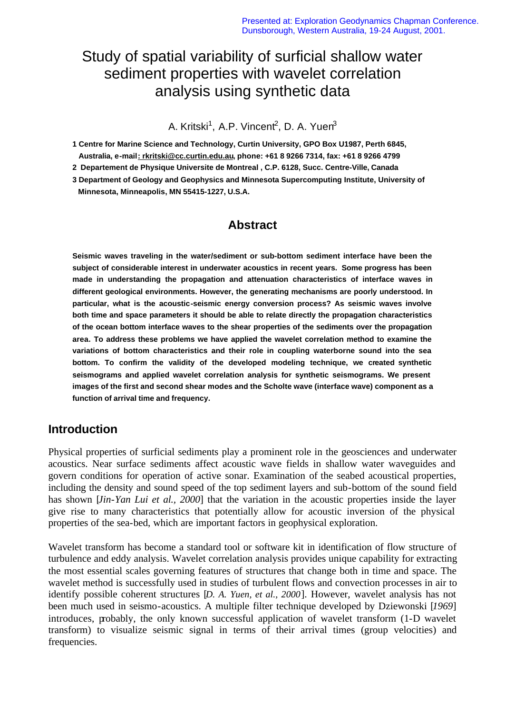# Study of spatial variability of surficial shallow water sediment properties with wavelet correlation analysis using synthetic data

A. Kritski<sup>1</sup>, A.P. Vincent<sup>2</sup>, D. A. Yuen<sup>3</sup>

**1 Centre for Marine Science and Technology, Curtin University, GPO Box U1987, Perth 6845,** 

 **Australia, e-mail: rkritski@cc.curtin.edu.au, phone: +61 8 9266 7314, fax: +61 8 9266 4799**

**2 Departement de Physique Universite de Montreal , C.P. 6128, Succ. Centre-Ville, Canada**

**3 Department of Geology and Geophysics and Minnesota Supercomputing Institute, University of Minnesota, Minneapolis, MN 55415-1227, U.S.A.**

## **Abstract**

**Seismic waves traveling in the water/sediment or sub-bottom sediment interface have been the subject of considerable interest in underwater acoustics in recent years. Some progress has been made in understanding the propagation and attenuation characteristics of interface waves in different geological environments. However, the generating mechanisms are poorly understood. In particular, what is the acoustic-seismic energy conversion process? As seismic waves involve both time and space parameters it should be able to relate directly the propagation characteristics of the ocean bottom interface waves to the shear properties of the sediments over the propagation area. To address these problems we have applied the wavelet correlation method to examine the variations of bottom characteristics and their role in coupling waterborne sound into the sea bottom. To confirm the validity of the developed modeling technique, we created synthetic seismograms and applied wavelet correlation analysis for synthetic seismograms. We present images of the first and second shear modes and the Scholte wave (interface wave) component as a function of arrival time and frequency.**

## **Introduction**

Physical properties of surficial sediments play a prominent role in the geosciences and underwater acoustics. Near surface sediments affect acoustic wave fields in shallow water waveguides and govern conditions for operation of active sonar. Examination of the seabed acoustical properties, including the density and sound speed of the top sediment layers and sub-bottom of the sound field has shown [*Jin-Yan Lui et al., 2000*] that the variation in the acoustic properties inside the layer give rise to many characteristics that potentially allow for acoustic inversion of the physical properties of the sea-bed, which are important factors in geophysical exploration.

Wavelet transform has become a standard tool or software kit in identification of flow structure of turbulence and eddy analysis. Wavelet correlation analysis provides unique capability for extracting the most essential scales governing features of structures that change both in time and space. The wavelet method is successfully used in studies of turbulent flows and convection processes in air to identify possible coherent structures [*D. A. Yuen, et al., 2000*]. However, wavelet analysis has not been much used in seismo-acoustics. A multiple filter technique developed by Dziewonski [*1969*] introduces, probably, the only known successful application of wavelet transform (1-D wavelet transform) to visualize seismic signal in terms of their arrival times (group velocities) and frequencies.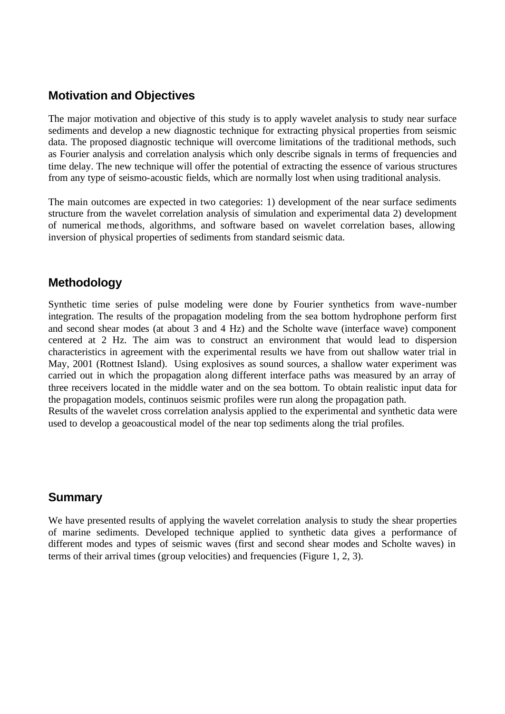## **Motivation and Objectives**

The major motivation and objective of this study is to apply wavelet analysis to study near surface sediments and develop a new diagnostic technique for extracting physical properties from seismic data. The proposed diagnostic technique will overcome limitations of the traditional methods, such as Fourier analysis and correlation analysis which only describe signals in terms of frequencies and time delay. The new technique will offer the potential of extracting the essence of various structures from any type of seismo-acoustic fields, which are normally lost when using traditional analysis.

The main outcomes are expected in two categories: 1) development of the near surface sediments structure from the wavelet correlation analysis of simulation and experimental data 2) development of numerical methods, algorithms, and software based on wavelet correlation bases, allowing inversion of physical properties of sediments from standard seismic data.

#### **Methodology**

Synthetic time series of pulse modeling were done by Fourier synthetics from wave-number integration. The results of the propagation modeling from the sea bottom hydrophone perform first and second shear modes (at about 3 and 4 Hz) and the Scholte wave (interface wave) component centered at 2 Hz. The aim was to construct an environment that would lead to dispersion characteristics in agreement with the experimental results we have from out shallow water trial in May, 2001 (Rottnest Island). Using explosives as sound sources, a shallow water experiment was carried out in which the propagation along different interface paths was measured by an array of three receivers located in the middle water and on the sea bottom. To obtain realistic input data for the propagation models, continuos seismic profiles were run along the propagation path.

Results of the wavelet cross correlation analysis applied to the experimental and synthetic data were used to develop a geoacoustical model of the near top sediments along the trial profiles.

#### **Summary**

We have presented results of applying the wavelet correlation analysis to study the shear properties of marine sediments. Developed technique applied to synthetic data gives a performance of different modes and types of seismic waves (first and second shear modes and Scholte waves) in terms of their arrival times (group velocities) and frequencies (Figure 1, 2, 3).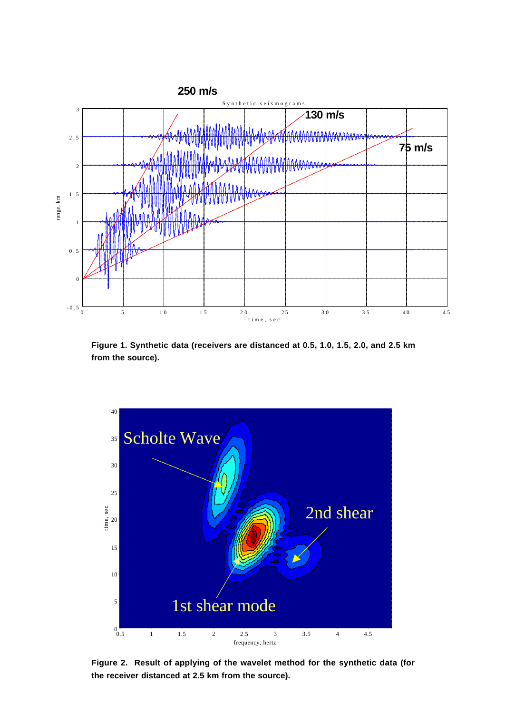

**Figure 1. Synthetic data (receivers are distanced at 0.5, 1.0, 1.5, 2.0, and 2.5 km from the source).**



**Figure 2. Result of applying of the wavelet method for the synthetic data (for the receiver distanced at 2.5 km from the source).**